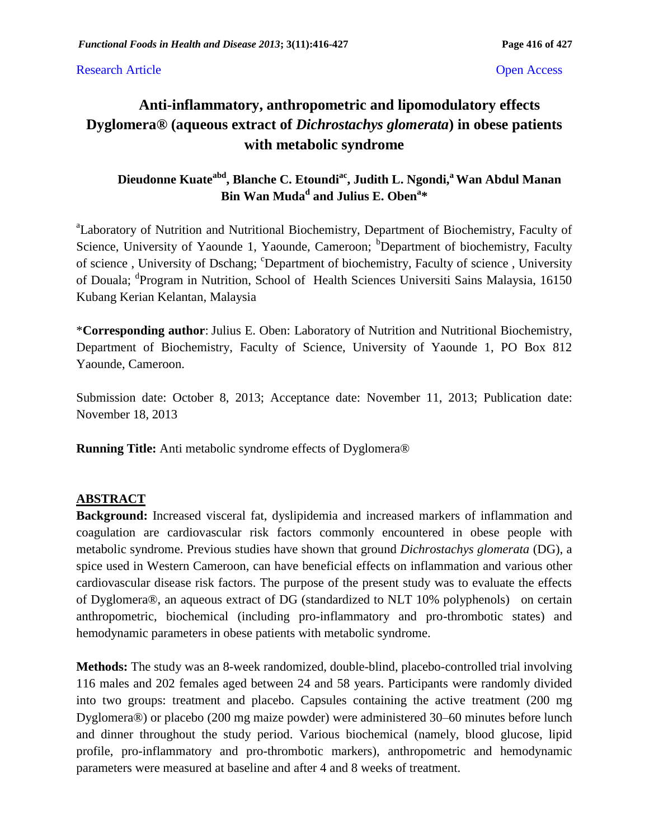#### Research Article **Open Access**

# **Anti-inflammatory, anthropometric and lipomodulatory effects Dyglomera® (aqueous extract of** *Dichrostachys glomerata***) in obese patients with metabolic syndrome**

# **Dieudonne Kuateabd, Blanche C. Etoundiac, Judith L. Ngondi,<sup>a</sup>Wan Abdul Manan Bin Wan Muda<sup>d</sup> and Julius E. Oben<sup>a</sup> \***

<sup>a</sup>Laboratory of Nutrition and Nutritional Biochemistry, Department of Biochemistry, Faculty of Science, University of Yaounde 1, Yaounde, Cameroon; <sup>b</sup>Department of biochemistry, Faculty of science, University of Dschang; <sup>c</sup>Department of biochemistry, Faculty of science, University of Douala; <sup>d</sup>Program in Nutrition, School of Health Sciences Universiti Sains Malaysia, 16150 Kubang Kerian Kelantan, Malaysia

\***Corresponding author**: Julius E. Oben: Laboratory of Nutrition and Nutritional Biochemistry, Department of Biochemistry, Faculty of Science, University of Yaounde 1, PO Box 812 Yaounde, Cameroon.

Submission date: October 8, 2013; Acceptance date: November 11, 2013; Publication date: November 18, 2013

**Running Title:** Anti metabolic syndrome effects of Dyglomera®

#### **ABSTRACT**

**Background:** Increased visceral fat, dyslipidemia and increased markers of inflammation and coagulation are cardiovascular risk factors commonly encountered in obese people with metabolic syndrome. Previous studies have shown that ground *Dichrostachys glomerata* (DG), a spice used in Western Cameroon, can have beneficial effects on inflammation and various other cardiovascular disease risk factors. The purpose of the present study was to evaluate the effects of Dyglomera®, an aqueous extract of DG (standardized to NLT 10% polyphenols) on certain anthropometric, biochemical (including pro-inflammatory and pro-thrombotic states) and hemodynamic parameters in obese patients with metabolic syndrome.

**Methods:** The study was an 8-week randomized, double-blind, placebo-controlled trial involving 116 males and 202 females aged between 24 and 58 years. Participants were randomly divided into two groups: treatment and placebo. Capsules containing the active treatment (200 mg Dyglomera®) or placebo (200 mg maize powder) were administered 30–60 minutes before lunch and dinner throughout the study period. Various biochemical (namely, blood glucose, lipid profile, pro-inflammatory and pro-thrombotic markers), anthropometric and hemodynamic parameters were measured at baseline and after 4 and 8 weeks of treatment.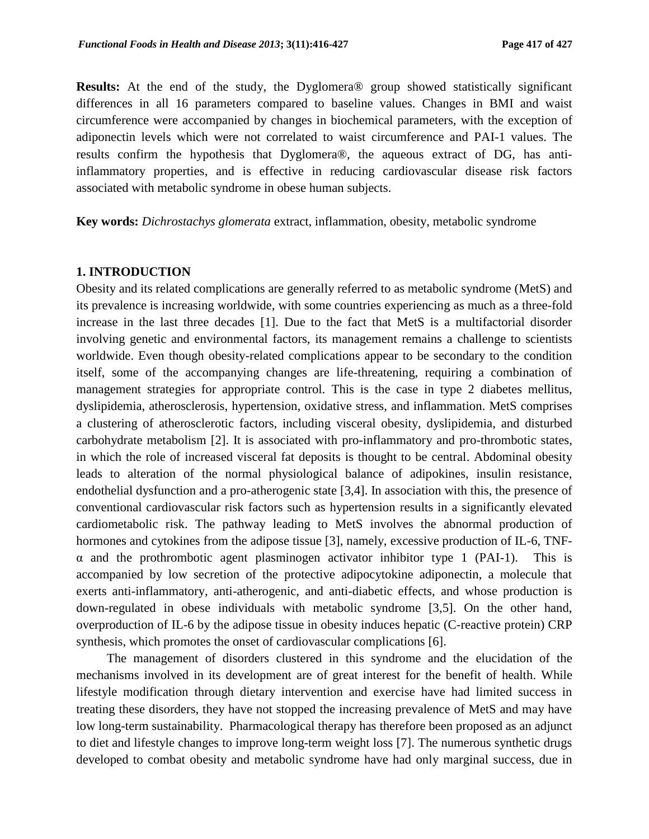**Results:** At the end of the study, the Dyglomera® group showed statistically significant differences in all 16 parameters compared to baseline values. Changes in BMI and waist circumference were accompanied by changes in biochemical parameters, with the exception of adiponectin levels which were not correlated to waist circumference and PAI-1 values. The results confirm the hypothesis that Dyglomera®, the aqueous extract of DG, has antiinflammatory properties, and is effective in reducing cardiovascular disease risk factors associated with metabolic syndrome in obese human subjects.

**Key words:** *Dichrostachys glomerata* extract, inflammation, obesity, metabolic syndrome

#### **1. INTRODUCTION**

Obesity and its related complications are generally referred to as metabolic syndrome (MetS) and its prevalence is increasing worldwide, with some countries experiencing as much as a three-fold increase in the last three decades [1]. Due to the fact that MetS is a multifactorial disorder involving genetic and environmental factors, its management remains a challenge to scientists worldwide. Even though obesity-related complications appear to be secondary to the condition itself, some of the accompanying changes are life-threatening, requiring a combination of management strategies for appropriate control. This is the case in type 2 diabetes mellitus, dyslipidemia, atherosclerosis, hypertension, oxidative stress, and inflammation. MetS comprises a clustering of atherosclerotic factors, including visceral obesity, dyslipidemia, and disturbed carbohydrate metabolism [2]. It is associated with pro-inflammatory and pro-thrombotic states, in which the role of increased visceral fat deposits is thought to be central. Abdominal obesity leads to alteration of the normal physiological balance of adipokines, insulin resistance, endothelial dysfunction and a pro-atherogenic state [3,4]. In association with this, the presence of conventional cardiovascular risk factors such as hypertension results in a significantly elevated cardiometabolic risk. The pathway leading to MetS involves the abnormal production of hormones and cytokines from the adipose tissue [3], namely, excessive production of IL-6, TNF- $\alpha$  and the prothrombotic agent plasminogen activator inhibitor type 1 (PAI-1). This is accompanied by low secretion of the protective adipocytokine adiponectin, a molecule that exerts anti-inflammatory, anti-atherogenic, and anti-diabetic effects, and whose production is down-regulated in obese individuals with metabolic syndrome [3,5]. On the other hand, overproduction of IL-6 by the adipose tissue in obesity induces hepatic (C-reactive protein) CRP synthesis, which promotes the onset of cardiovascular complications [6].

The management of disorders clustered in this syndrome and the elucidation of the mechanisms involved in its development are of great interest for the benefit of health. While lifestyle modification through dietary intervention and exercise have had limited success in treating these disorders, they have not stopped the increasing prevalence of MetS and may have low long-term sustainability. Pharmacological therapy has therefore been proposed as an adjunct to diet and lifestyle changes to improve long-term weight loss [7]. The numerous synthetic drugs developed to combat obesity and metabolic syndrome have had only marginal success, due in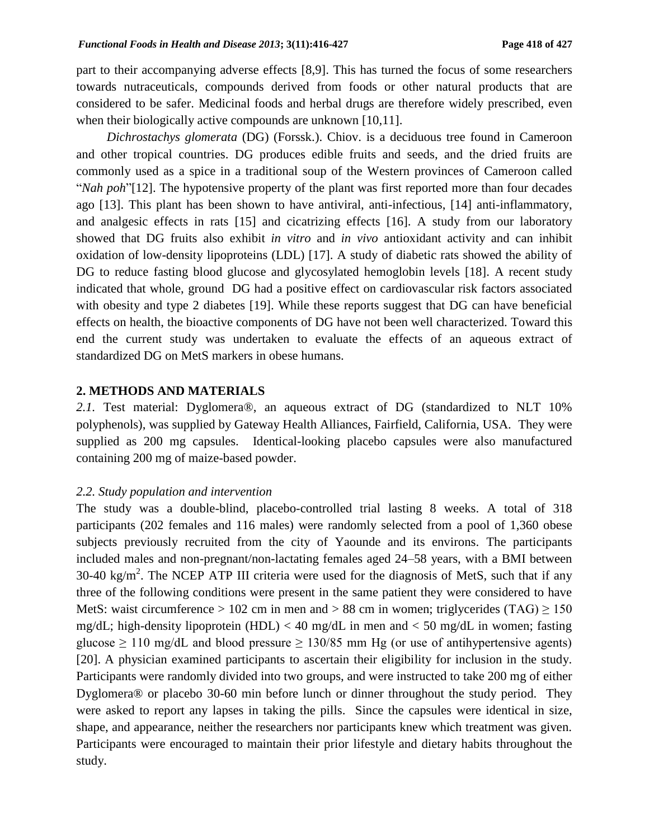part to their accompanying adverse effects [8,9]. This has turned the focus of some researchers towards nutraceuticals, compounds derived from foods or other natural products that are considered to be safer. Medicinal foods and herbal drugs are therefore widely prescribed, even when their biologically active compounds are unknown [10,11].

*Dichrostachys glomerata* (DG) (Forssk.). Chiov. is a deciduous tree found in Cameroon and other tropical countries. DG produces edible fruits and seeds, and the dried fruits are commonly used as a spice in a traditional soup of the Western provinces of Cameroon called "*Nah poh*"[12]. The hypotensive property of the plant was first reported more than four decades ago [13]. This plant has been shown to have antiviral, anti-infectious, [14] anti-inflammatory, and analgesic effects in rats [15] and cicatrizing effects [16]. A study from our laboratory showed that DG fruits also exhibit *in vitro* and *in vivo* antioxidant activity and can inhibit oxidation of low-density lipoproteins (LDL) [17]. A study of diabetic rats showed the ability of DG to reduce fasting blood glucose and glycosylated hemoglobin levels [18]. A recent study indicated that whole, ground DG had a positive effect on cardiovascular risk factors associated with obesity and type 2 diabetes [19]. While these reports suggest that DG can have beneficial effects on health, the bioactive components of DG have not been well characterized. Toward this end the current study was undertaken to evaluate the effects of an aqueous extract of standardized DG on MetS markers in obese humans.

#### **2. METHODS AND MATERIALS**

*2.1.* Test material: Dyglomera®, an aqueous extract of DG (standardized to NLT 10% polyphenols), was supplied by Gateway Health Alliances, Fairfield, California, USA. They were supplied as 200 mg capsules. Identical-looking placebo capsules were also manufactured containing 200 mg of maize-based powder.

#### *2.2. Study population and intervention*

The study was a double-blind, placebo-controlled trial lasting 8 weeks. A total of 318 participants (202 females and 116 males) were randomly selected from a pool of 1,360 obese subjects previously recruited from the city of Yaounde and its environs. The participants included males and non-pregnant/non-lactating females aged 24–58 years, with a BMI between 30-40 kg/m<sup>2</sup>. The NCEP ATP III criteria were used for the diagnosis of MetS, such that if any three of the following conditions were present in the same patient they were considered to have MetS: waist circumference > 102 cm in men and > 88 cm in women; triglycerides (TAG)  $\geq$  150 mg/dL; high-density lipoprotein (HDL) < 40 mg/dL in men and < 50 mg/dL in women; fasting glucose  $\geq 110$  mg/dL and blood pressure  $\geq 130/85$  mm Hg (or use of antihypertensive agents) [20]. A physician examined participants to ascertain their eligibility for inclusion in the study. Participants were randomly divided into two groups, and were instructed to take 200 mg of either Dyglomera® or placebo 30-60 min before lunch or dinner throughout the study period. They were asked to report any lapses in taking the pills. Since the capsules were identical in size, shape, and appearance, neither the researchers nor participants knew which treatment was given. Participants were encouraged to maintain their prior lifestyle and dietary habits throughout the study.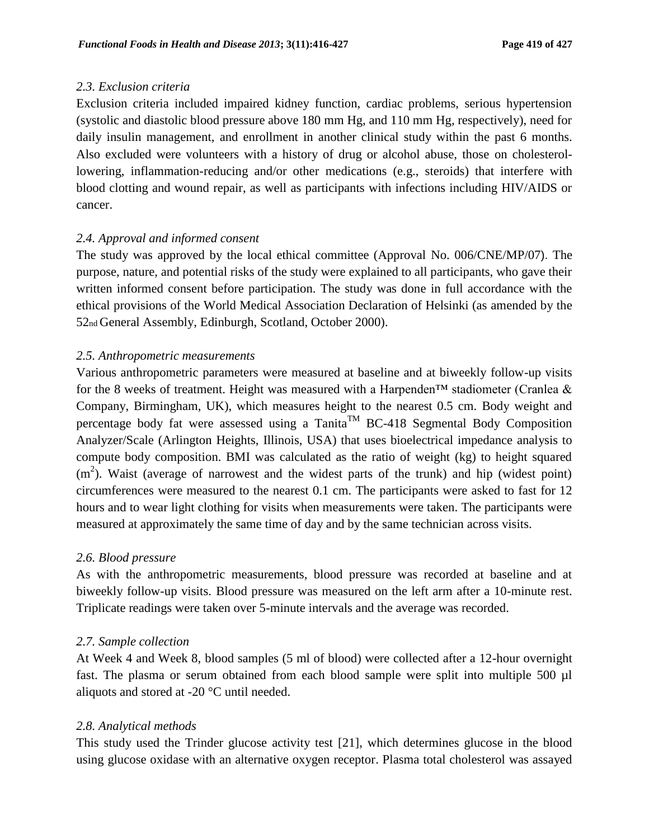## *2.3. Exclusion criteria*

Exclusion criteria included impaired kidney function, cardiac problems, serious hypertension (systolic and diastolic blood pressure above 180 mm Hg, and 110 mm Hg, respectively), need for daily insulin management, and enrollment in another clinical study within the past 6 months. Also excluded were volunteers with a history of drug or alcohol abuse, those on cholesterollowering, inflammation-reducing and/or other medications (e.g., steroids) that interfere with blood clotting and wound repair, as well as participants with infections including HIV/AIDS or cancer.

# *2.4. Approval and informed consent*

The study was approved by the local ethical committee (Approval No. 006/CNE/MP/07). The purpose, nature, and potential risks of the study were explained to all participants, who gave their written informed consent before participation. The study was done in full accordance with the ethical provisions of the World Medical Association Declaration of Helsinki (as amended by the 52nd General Assembly, Edinburgh, Scotland, October 2000).

#### *2.5. Anthropometric measurements*

Various anthropometric parameters were measured at baseline and at biweekly follow-up visits for the 8 weeks of treatment. Height was measured with a Harpenden™ stadiometer (Cranlea & Company, Birmingham, UK), which measures height to the nearest 0.5 cm. Body weight and percentage body fat were assessed using a Tanita<sup>TM</sup> BC-418 Segmental Body Composition Analyzer/Scale (Arlington Heights, Illinois, USA) that uses bioelectrical impedance analysis to compute body composition. BMI was calculated as the ratio of weight (kg) to height squared  $(m<sup>2</sup>)$ . Waist (average of narrowest and the widest parts of the trunk) and hip (widest point) circumferences were measured to the nearest 0.1 cm. The participants were asked to fast for 12 hours and to wear light clothing for visits when measurements were taken. The participants were measured at approximately the same time of day and by the same technician across visits.

# *2.6. Blood pressure*

As with the anthropometric measurements, blood pressure was recorded at baseline and at biweekly follow-up visits. Blood pressure was measured on the left arm after a 10-minute rest. Triplicate readings were taken over 5-minute intervals and the average was recorded.

#### *2.7. Sample collection*

At Week 4 and Week 8, blood samples (5 ml of blood) were collected after a 12-hour overnight fast. The plasma or serum obtained from each blood sample were split into multiple 500 µl aliquots and stored at -20 °C until needed.

# *2.8. Analytical methods*

This study used the Trinder glucose activity test [21], which determines glucose in the blood using glucose oxidase with an alternative oxygen receptor. Plasma total cholesterol was assayed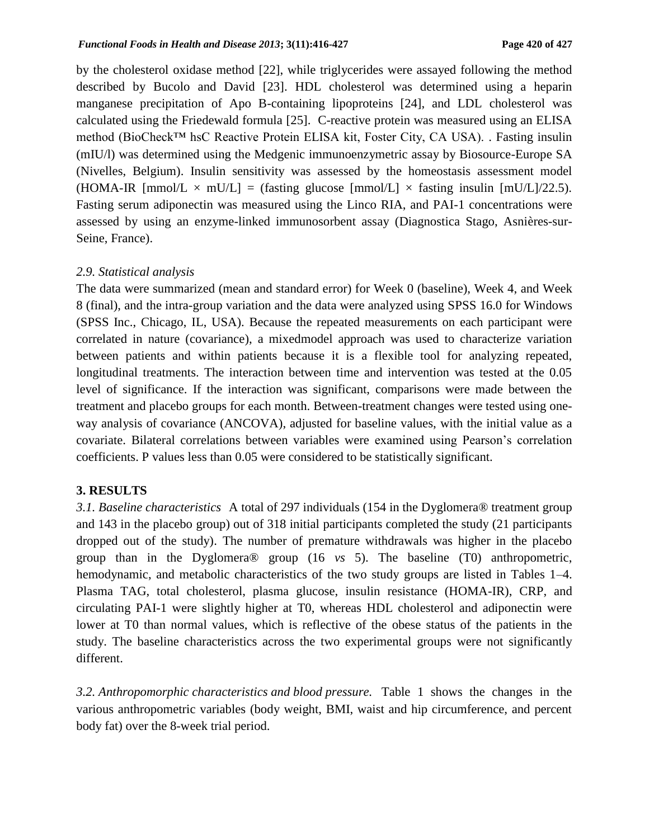by the cholesterol oxidase method [22], while triglycerides were assayed following the method described by Bucolo and David [23]. HDL cholesterol was determined using a heparin manganese precipitation of Apo B-containing lipoproteins [24], and LDL cholesterol was calculated using the Friedewald formula [25]. C-reactive protein was measured using an ELISA method (BioCheck™ hsC Reactive Protein ELISA kit, Foster City, CA USA). . Fasting insulin (mIU/l) was determined using the Medgenic immunoenzymetric assay by Biosource-Europe SA (Nivelles, Belgium). Insulin sensitivity was assessed by the homeostasis assessment model (HOMA-IR [mmol/L  $\times$  mU/L] = (fasting glucose [mmol/L]  $\times$  fasting insulin [mU/L]/22.5). Fasting serum adiponectin was measured using the Linco RIA, and PAI-1 concentrations were assessed by using an enzyme-linked immunosorbent assay (Diagnostica Stago, Asnières-sur-Seine, France).

# *2.9. Statistical analysis*

The data were summarized (mean and standard error) for Week 0 (baseline), Week 4, and Week 8 (final), and the intra-group variation and the data were analyzed using SPSS 16.0 for Windows (SPSS Inc., Chicago, IL, USA). Because the repeated measurements on each participant were correlated in nature (covariance), a mixedmodel approach was used to characterize variation between patients and within patients because it is a flexible tool for analyzing repeated, longitudinal treatments. The interaction between time and intervention was tested at the 0.05 level of significance. If the interaction was significant, comparisons were made between the treatment and placebo groups for each month. Between-treatment changes were tested using oneway analysis of covariance (ANCOVA), adjusted for baseline values, with the initial value as a covariate. Bilateral correlations between variables were examined using Pearson's correlation coefficients. P values less than 0.05 were considered to be statistically significant.

# **3. RESULTS**

*3.1. Baseline characteristics* A total of 297 individuals (154 in the Dyglomera® treatment group and 143 in the placebo group) out of 318 initial participants completed the study (21 participants dropped out of the study). The number of premature withdrawals was higher in the placebo group than in the Dyglomera® group (16 *vs* 5). The baseline (T0) anthropometric, hemodynamic, and metabolic characteristics of the two study groups are listed in Tables 1–4. Plasma TAG, total cholesterol, plasma glucose, insulin resistance (HOMA-IR), CRP, and circulating PAI-1 were slightly higher at T0, whereas HDL cholesterol and adiponectin were lower at T0 than normal values, which is reflective of the obese status of the patients in the study. The baseline characteristics across the two experimental groups were not significantly different.

*3.2. Anthropomorphic characteristics and blood pressure.* Table 1 shows the changes in the various anthropometric variables (body weight, BMI, waist and hip circumference, and percent body fat) over the 8-week trial period.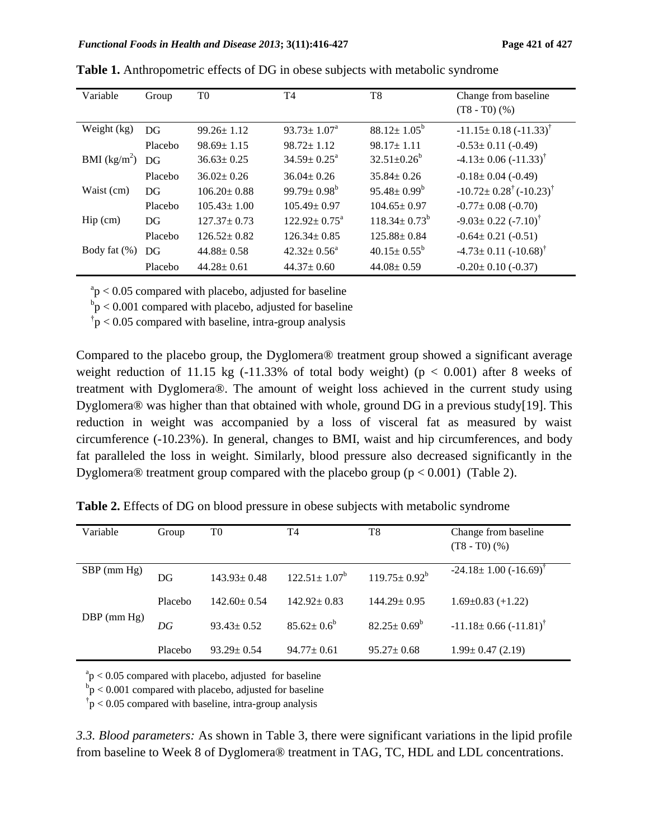| Variable                           | Group   | T <sub>0</sub>    | T <sub>4</sub>               | T <sub>8</sub>                | Change from baseline<br>$(T8 - T0)(%)$            |
|------------------------------------|---------|-------------------|------------------------------|-------------------------------|---------------------------------------------------|
| Weight (kg)                        | DG      | $99.26 \pm 1.12$  | $93.73 \pm 1.07^{\circ}$     | $88.12 \pm 1.05^{\rm b}$      | $-11.15 \pm 0.18 (-11.33)^T$                      |
|                                    | Placebo | $98.69 \pm 1.15$  | $98.72 \pm 1.12$             | $98.17 \pm 1.11$              | $-0.53 \pm 0.11$ ( $-0.49$ )                      |
| BMI $(kg/m^2)$                     | DG      | $36.63 \pm 0.25$  | $34.59 \pm 0.25^{\circ}$     | $32.51 \pm 0.26^b$            | $-4.13 \pm 0.06 (-11.33)^{\dagger}$               |
|                                    | Placebo | $36.02 + 0.26$    | $36.04 \pm 0.26$             | $35.84 \pm 0.26$              | $-0.18 \pm 0.04$ ( $-0.49$ )                      |
| Waist (cm)                         | DG      | $106.20 + 0.88$   | $99.79 \pm 0.98^b$           | $95.48 \pm 0.99^b$            | $-10.72 \pm 0.28^{\dagger}$ (-10.23) <sup>†</sup> |
|                                    | Placebo | $105.43 \pm 1.00$ | $105.49 \pm 0.97$            | $104.65 \pm 0.97$             | $-0.77 \pm 0.08$ ( $-0.70$ )                      |
| $\text{Hip}\left(\text{cm}\right)$ | DG      | $127.37 \pm 0.73$ | $122.92 \pm 0.75^{\text{a}}$ | $118.34 \pm 0.73^b$           | $-9.03 \pm 0.22$ (-7.10) <sup>†</sup>             |
|                                    | Placebo | $126.52 \pm 0.82$ | $126.34 \pm 0.85$            | $125.88 \pm 0.84$             | $-0.64 \pm 0.21$ ( $-0.51$ )                      |
| Body fat (%)                       | DG      | $44.88 \pm 0.58$  | $42.32 \pm 0.56^{\circ}$     | $40.15 \pm 0.55^{\mathrm{b}}$ | $-4.73 \pm 0.11 (-10.68)^T$                       |
|                                    | Placebo | $44.28 \pm 0.61$  | $44.37 \pm 0.60$             | $44.08 \pm 0.59$              | $-0.20 \pm 0.10$ ( $-0.37$ )                      |

 $a_p < 0.05$  compared with placebo, adjusted for baseline

 $b_p$  < 0.001 compared with placebo, adjusted for baseline

 $\phi$   $\uparrow$  p < 0.05 compared with baseline, intra-group analysis

Compared to the placebo group, the Dyglomera® treatment group showed a significant average weight reduction of 11.15 kg  $(-11.33\%$  of total body weight) ( $p < 0.001$ ) after 8 weeks of treatment with Dyglomera®. The amount of weight loss achieved in the current study using Dyglomera® was higher than that obtained with whole, ground DG in a previous study[19]. This reduction in weight was accompanied by a loss of visceral fat as measured by waist circumference (-10.23%). In general, changes to BMI, waist and hip circumferences, and body fat paralleled the loss in weight. Similarly, blood pressure also decreased significantly in the Dyglomera® treatment group compared with the placebo group ( $p < 0.001$ ) (Table 2).

| Variable    | Group   | T <sub>0</sub>    | T <sub>4</sub>      | T <sub>8</sub>      | Change from baseline<br>$(T8 - T0)(% )$ |
|-------------|---------|-------------------|---------------------|---------------------|-----------------------------------------|
| SBP (mm Hg) | DG      | $143.93 \pm 0.48$ | $122.51 \pm 1.07^b$ | $119.75 \pm 0.92^b$ | $-24.18 \pm 1.00 (-16.69)^{\dagger}$    |
| DBP (mm Hg) | Placebo | $142.60 \pm 0.54$ | $142.92 \pm 0.83$   | $144.29 \pm 0.95$   | $1.69 \pm 0.83 (+1.22)$                 |
|             | DG      | $93.43 \pm 0.52$  | $85.62 \pm 0.6^b$   | $82.25 \pm 0.69^b$  | $-11.18 \pm 0.66 (-11.81)^{\dagger}$    |
|             | Placebo | $93.29 \pm 0.54$  | $94.77 \pm 0.61$    | $95.27 \pm 0.68$    | $1.99 \pm 0.47$ (2.19)                  |

**Table 2.** Effects of DG on blood pressure in obese subjects with metabolic syndrome

 $a_p < 0.05$  compared with placebo, adjusted for baseline

 $b_p < 0.001$  compared with placebo, adjusted for baseline

 $\phi$  th  $\phi$  = 0.05 compared with baseline, intra-group analysis

*3.3. Blood parameters:* As shown in Table 3, there were significant variations in the lipid profile from baseline to Week 8 of Dyglomera® treatment in TAG, TC, HDL and LDL concentrations.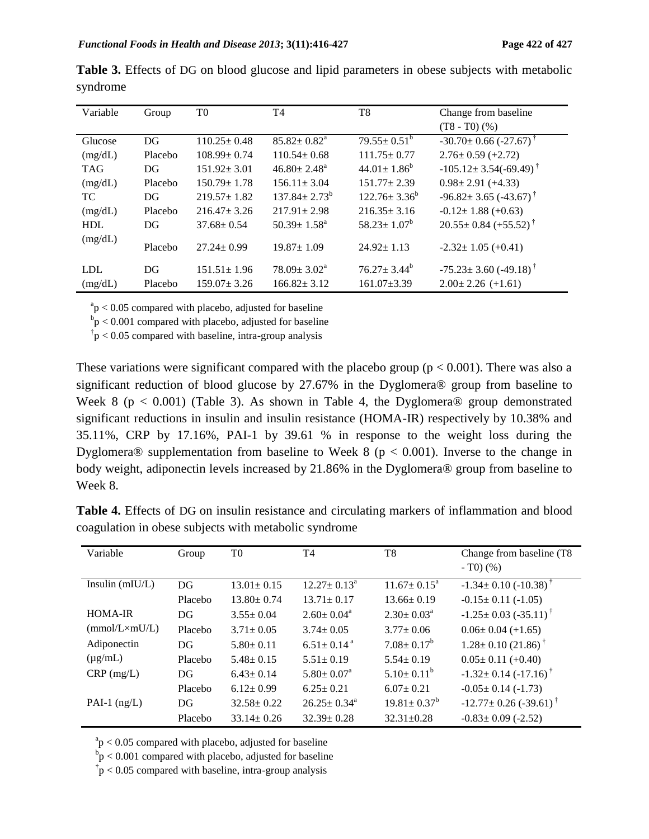| Variable   | Group   | T <sub>0</sub>    | T <sub>4</sub>              | T <sub>8</sub>           | Change from baseline                    |
|------------|---------|-------------------|-----------------------------|--------------------------|-----------------------------------------|
|            |         |                   |                             |                          | $(T8 - T0)(%)$                          |
| Glucose    | DG      | $110.25 \pm 0.48$ | $85.82 \pm 0.82^{\circ}$    | $79.55 \pm 0.51^{\circ}$ | $-30.70 \pm 0.66$ (-27.67) <sup>†</sup> |
| (mg/dL)    | Placebo | $108.99 \pm 0.74$ | $110.54 \pm 0.68$           | $111.75 \pm 0.77$        | $2.76 \pm 0.59$ (+2.72)                 |
| <b>TAG</b> | DG      | $151.92 \pm 3.01$ | $46.80 \pm 2.48^{\circ}$    | $44.01 + 1.86^{b}$       | $-105.12 \pm 3.54(-69.49)^{\dagger}$    |
| (mg/dL)    | Placebo | $150.79 \pm 1.78$ | $156.11 \pm 3.04$           | $151.77 \pm 2.39$        | $0.98 \pm 2.91 (+4.33)$                 |
| ТC         | DG      | $219.57 \pm 1.82$ | $137.84 \pm 2.73^b$         | $122.76 \pm 3.36^b$      | $-96.82 \pm 3.65$ (-43.67) <sup>†</sup> |
| (mg/dL)    | Placebo | $216.47 \pm 3.26$ | $217.91 \pm 2.98$           | $216.35 \pm 3.16$        | $-0.12 \pm 1.88 (+0.63)$                |
| <b>HDL</b> | DG      | $37.68 \pm 0.54$  | $50.39 \pm 1.58^{\circ}$    | $58.23 \pm 1.07^b$       | $20.55 \pm 0.84 (+55.52)^{\dagger}$     |
| (mg/dL)    | Placebo | $27.24 \pm 0.99$  | $19.87 \pm 1.09$            | $24.92 \pm 1.13$         | $-2.32 \pm 1.05 (+0.41)$                |
| <b>LDL</b> | DG      | $151.51 \pm 1.96$ | $78.09 \pm 3.02^{\text{a}}$ | $76.27 \pm 3.44^b$       | $-75.23 \pm 3.60$ (-49.18) <sup>†</sup> |
| (mg/dL)    | Placebo | $159.07 \pm 3.26$ | $166.82 \pm 3.12$           | $161.07 \pm 3.39$        | $2.00 \pm 2.26$ (+1.61)                 |

**Table 3.** Effects of DG on blood glucose and lipid parameters in obese subjects with metabolic syndrome

 $a_p < 0.05$  compared with placebo, adjusted for baseline

 $b_p < 0.001$  compared with placebo, adjusted for baseline

 $\phi$  th  $p$  < 0.05 compared with baseline, intra-group analysis

These variations were significant compared with the placebo group ( $p < 0.001$ ). There was also a significant reduction of blood glucose by 27.67% in the Dyglomera® group from baseline to Week 8 ( $p < 0.001$ ) (Table 3). As shown in Table 4, the Dyglomera<sup>®</sup> group demonstrated significant reductions in insulin and insulin resistance (HOMA-IR) respectively by 10.38% and 35.11%, CRP by 17.16%, PAI-1 by 39.61 % in response to the weight loss during the Dyglomera® supplementation from baseline to Week 8 ( $p < 0.001$ ). Inverse to the change in body weight, adiponectin levels increased by 21.86% in the Dyglomera® group from baseline to Week 8.

**Table 4.** Effects of DG on insulin resistance and circulating markers of inflammation and blood coagulation in obese subjects with metabolic syndrome

| Variable               | Group   | T <sub>0</sub>   | T <sub>4</sub>                | T <sub>8</sub>           | Change from baseline (T8)               |
|------------------------|---------|------------------|-------------------------------|--------------------------|-----------------------------------------|
|                        |         |                  |                               |                          | $-$ T <sub>0</sub> ) $(\% )$            |
|                        |         |                  |                               |                          |                                         |
| Insulin $(mIU/L)$      | DG      | $13.01 \pm 0.15$ | $12.27 \pm 0.13^{\text{a}}$   | $11.67 \pm 0.15^{\circ}$ | $-1.34 \pm 0.10 (-10.38)$ <sup>T</sup>  |
|                        | Placebo | $13.80 \pm 0.74$ | $13.71 \pm 0.17$              | $13.66 \pm 0.19$         | $-0.15 \pm 0.11 (-1.05)$                |
| HOMA-IR                | DG      | $3.55 \pm 0.04$  | $2.60 \pm 0.04^{\circ}$       | $2.30 \pm 0.03^{\circ}$  | $-1.25 \pm 0.03$ (-35.11) <sup>†</sup>  |
| $(mmol/L \times mU/L)$ | Placebo | $3.71 \pm 0.05$  | $3.74 \pm 0.05$               | $3.77 \pm 0.06$          | $0.06 \pm 0.04 (+1.65)$                 |
| Adiponectin            | DG      | $5.80 + 0.11$    | $6.51 \div 0.14$ <sup>a</sup> | $7.08 + 0.17^b$          | $1.28 \pm 0.10$ (21.86) <sup>†</sup>    |
| $(\mu g/mL)$           | Placebo | $5.48 \pm 0.15$  | $5.51 \pm 0.19$               | $5.54 \pm 0.19$          | $0.05 \pm 0.11 (+0.40)$                 |
| $CRP$ (mg/L)           | DG      | $6.43 \pm 0.14$  | $5.80 \pm 0.07$ <sup>a</sup>  | $5.10\pm0.11^{b}$        | $-1.32 \pm 0.14 (-17.16)^{\dagger}$     |
|                        | Placebo | $6.12 \pm 0.99$  | $6.25 \pm 0.21$               | $6.07 \pm 0.21$          | $-0.05 \pm 0.14$ (-1.73)                |
| PAI-1 $(ng/L)$         | DG      | $32.58 \pm 0.22$ | $26.25 \pm 0.34^a$            | $19.81 \pm 0.37^b$       | $-12.77 \pm 0.26$ (-39.61) <sup>†</sup> |
|                        | Placebo | $33.14 \pm 0.26$ | $32.39 \pm 0.28$              | $32.31 \pm 0.28$         | $-0.83 \pm 0.09$ ( $-2.52$ )            |

 $a_p < 0.05$  compared with placebo, adjusted for baseline

 $b_p < 0.001$  compared with placebo, adjusted for baseline

 $\phi$  th  $\phi$  = 0.05 compared with baseline, intra-group analysis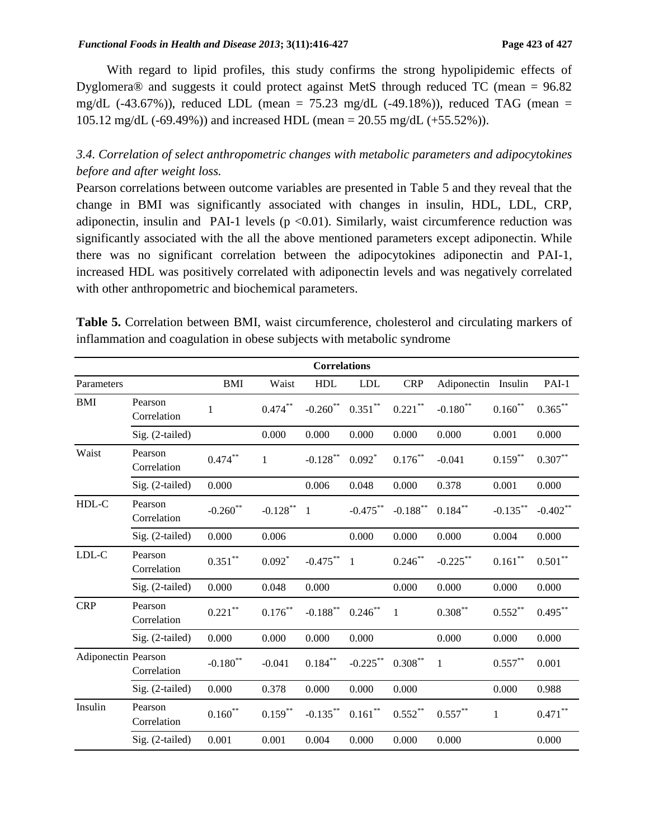With regard to lipid profiles, this study confirms the strong hypolipidemic effects of Dyglomera® and suggests it could protect against MetS through reduced TC (mean = 96.82 mg/dL (-43.67%)), reduced LDL (mean = 75.23 mg/dL (-49.18%)), reduced TAG (mean = 105.12 mg/dL (-69.49%)) and increased HDL (mean = 20.55 mg/dL (+55.52%)).

# *3.4. Correlation of select anthropometric changes with metabolic parameters and adipocytokines before and after weight loss.*

Pearson correlations between outcome variables are presented in Table 5 and they reveal that the change in BMI was significantly associated with changes in insulin, HDL, LDL, CRP, adiponectin, insulin and PAI-1 levels  $(p \le 0.01)$ . Similarly, waist circumference reduction was significantly associated with the all the above mentioned parameters except adiponectin. While there was no significant correlation between the adipocytokines adiponectin and PAI-1, increased HDL was positively correlated with adiponectin levels and was negatively correlated with other anthropometric and biochemical parameters.

**Table 5.** Correlation between BMI, waist circumference, cholesterol and circulating markers of inflammation and coagulation in obese subjects with metabolic syndrome

|                     | <b>Correlations</b>    |                              |                    |                              |             |              |                     |                |               |
|---------------------|------------------------|------------------------------|--------------------|------------------------------|-------------|--------------|---------------------|----------------|---------------|
| Parameters          |                        | <b>BMI</b>                   | Waist              | <b>HDL</b>                   | <b>LDL</b>  | <b>CRP</b>   | Adiponectin Insulin |                | PAI-1         |
| <b>BMI</b>          | Pearson<br>Correlation | 1                            | $0.474***$         | $-0.260$ **                  | $0.351***$  | $0.221$ **   | $-0.180**$          | $0.160^\ast$   | $0.365***$    |
|                     | Sig. (2-tailed)        |                              | 0.000              | 0.000                        | 0.000       | 0.000        | 0.000               | 0.001          | 0.000         |
| Waist               | Pearson<br>Correlation | $0.474***$                   | $\mathbf{1}$       | $-0.128***$                  | $0.092$ *   | $0.176***$   | $-0.041$            | $0.159***$     | $0.307**$     |
|                     | Sig. (2-tailed)        | 0.000                        |                    | 0.006                        | 0.048       | 0.000        | 0.378               | 0.001          | 0.000         |
| HDL-C               | Pearson<br>Correlation | $-0.260$ **                  | $-0.128$ **        | $\overline{1}$               | $-0.475***$ | $-0.188$ **  | $0.184***$          | $-0.135***$    | $-0.402$ **   |
|                     | Sig. (2-tailed)        | 0.000                        | 0.006              |                              | 0.000       | 0.000        | 0.000               | 0.004          | 0.000         |
| LDL-C               | Pearson<br>Correlation | $0.351***$                   | $0.092$ *          | $-0.475$ ** 1                |             | $0.246***$   | $-0.225***$         | $0.161\sp{**}$ | $0.501\sp{*}$ |
|                     | Sig. (2-tailed)        | 0.000                        | 0.048              | 0.000                        |             | 0.000        | 0.000               | 0.000          | 0.000         |
| <b>CRP</b>          | Pearson<br>Correlation | $0.221***$                   | $0.176^{\ast\ast}$ | $\textbf{-0.188}^{\ast\ast}$ | $0.246**$   | $\mathbf{1}$ | $0.308***$          | $0.552***$     | $0.495***$    |
|                     | Sig. (2-tailed)        | 0.000                        | 0.000              | 0.000                        | 0.000       |              | 0.000               | 0.000          | 0.000         |
| Adiponectin Pearson | Correlation            | $\textbf{-0.180}^{\ast\ast}$ | $-0.041$           | $0.184***$                   | $-0.225$ ** | $0.308***$   | 1                   | $0.557***$     | 0.001         |
|                     | Sig. (2-tailed)        | 0.000                        | 0.378              | 0.000                        | 0.000       | 0.000        |                     | 0.000          | 0.988         |
| Insulin             | Pearson<br>Correlation | $0.160^\ast$                 | $0.159***$         | $-0.135***$                  | $0.161***$  | $0.552***$   | $0.557***$          | 1              | $0.471***$    |
|                     | Sig. (2-tailed)        | 0.001                        | 0.001              | 0.004                        | 0.000       | 0.000        | 0.000               |                | 0.000         |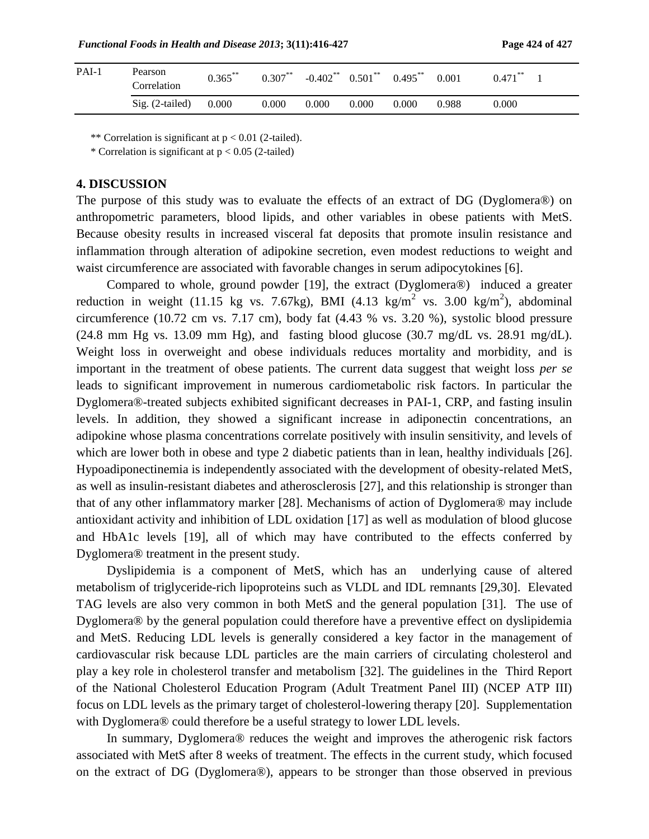| $PAI-1$ | Pearson<br>Correlation | $0.365***$ | $0.307***$ | $-0.402$ <sup>**</sup> $0.501$ <sup>**</sup> |       | $0.495***$ | 0.001 | $0.471***$ |  |
|---------|------------------------|------------|------------|----------------------------------------------|-------|------------|-------|------------|--|
|         | $Sig. (2-tailed)$      | 0.000      | 0.000      | 0.000                                        | 0.000 | 0.000      | 0.988 | 0.000      |  |

\*\* Correlation is significant at  $p < 0.01$  (2-tailed).

\* Correlation is significant at  $p < 0.05$  (2-tailed)

#### **4. DISCUSSION**

The purpose of this study was to evaluate the effects of an extract of DG (Dyglomera®) on anthropometric parameters, blood lipids, and other variables in obese patients with MetS. Because obesity results in increased visceral fat deposits that promote insulin resistance and inflammation through alteration of adipokine secretion, even modest reductions to weight and waist circumference are associated with favorable changes in serum adipocytokines [6].

Compared to whole, ground powder [19], the extract (Dyglomera®) induced a greater reduction in weight (11.15 kg vs. 7.67kg), BMI (4.13 kg/m<sup>2</sup> vs. 3.00 kg/m<sup>2</sup>), abdominal circumference (10.72 cm vs. 7.17 cm), body fat (4.43 % vs. 3.20 %), systolic blood pressure  $(24.8 \text{ mm Hg vs. } 13.09 \text{ mm Hg})$ , and fasting blood glucose  $(30.7 \text{ mg/dL vs. } 28.91 \text{ mg/dL})$ . Weight loss in overweight and obese individuals reduces mortality and morbidity, and is important in the treatment of obese patients. The current data suggest that weight loss *per se* leads to significant improvement in numerous cardiometabolic risk factors. In particular the Dyglomera®-treated subjects exhibited significant decreases in PAI-1, CRP, and fasting insulin levels. In addition, they showed a significant increase in adiponectin concentrations, an adipokine whose plasma concentrations correlate positively with insulin sensitivity, and levels of which are lower both in obese and type 2 diabetic patients than in lean, healthy individuals [26]. Hypoadiponectinemia is independently associated with the development of obesity-related MetS, as well as insulin-resistant diabetes and atherosclerosis [27], and this relationship is stronger than that of any other inflammatory marker [28]. Mechanisms of action of Dyglomera® may include antioxidant activity and inhibition of LDL oxidation [17] as well as modulation of blood glucose and HbA1c levels [19], all of which may have contributed to the effects conferred by Dyglomera® treatment in the present study.

Dyslipidemia is a component of MetS, which has an underlying cause of altered metabolism of triglyceride-rich lipoproteins such as VLDL and IDL remnants [29,30]. Elevated TAG levels are also very common in both MetS and the general population [31]. The use of Dyglomera® by the general population could therefore have a preventive effect on dyslipidemia and MetS. Reducing LDL levels is generally considered a key factor in the management of cardiovascular risk because LDL particles are the main carriers of circulating cholesterol and play a key role in cholesterol transfer and metabolism [32]. The guidelines in the Third Report of the National Cholesterol Education Program (Adult Treatment Panel III) (NCEP ATP III) focus on LDL levels as the primary target of cholesterol-lowering therapy [20]. Supplementation with Dyglomera® could therefore be a useful strategy to lower LDL levels.

In summary, Dyglomera® reduces the weight and improves the atherogenic risk factors associated with MetS after 8 weeks of treatment. The effects in the current study, which focused on the extract of DG (Dyglomera®), appears to be stronger than those observed in previous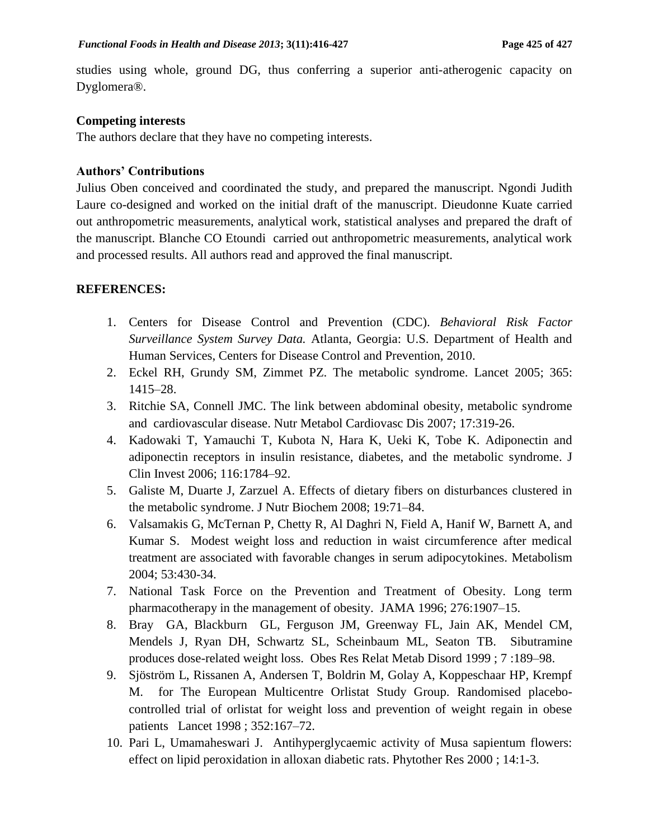studies using whole, ground DG, thus conferring a superior anti-atherogenic capacity on Dyglomera®.

## **Competing interests**

The authors declare that they have no competing interests.

## **Authors' Contributions**

Julius Oben conceived and coordinated the study, and prepared the manuscript. Ngondi Judith Laure co-designed and worked on the initial draft of the manuscript. Dieudonne Kuate carried out anthropometric measurements, analytical work, statistical analyses and prepared the draft of the manuscript. Blanche CO Etoundi carried out anthropometric measurements, analytical work and processed results. All authors read and approved the final manuscript.

# **REFERENCES:**

- 1. Centers for Disease Control and Prevention (CDC). *Behavioral Risk Factor Surveillance System Survey Data.* Atlanta, Georgia: U.S. Department of Health and Human Services, Centers for Disease Control and Prevention, 2010.
- 2. Eckel RH, Grundy SM, Zimmet PZ. The metabolic syndrome. Lancet 2005; 365: 1415–28.
- 3. Ritchie SA, Connell JMC. The link between abdominal obesity, metabolic syndrome and cardiovascular disease. Nutr Metabol Cardiovasc Dis 2007; 17:319-26.
- 4. Kadowaki T, Yamauchi T, Kubota N, Hara K, Ueki K, Tobe K. Adiponectin and adiponectin receptors in insulin resistance, diabetes, and the metabolic syndrome. J Clin Invest 2006; 116:1784–92.
- 5. Galiste M, Duarte J, Zarzuel A. Effects of dietary fibers on disturbances clustered in the metabolic syndrome. J Nutr Biochem 2008; 19:71–84.
- 6. Valsamakis G, McTernan P, Chetty R, Al Daghri N, Field A, Hanif W, Barnett A, and Kumar S. Modest weight loss and reduction in waist circumference after medical treatment are associated with favorable changes in serum adipocytokines. Metabolism 2004; 53:430-34.
- 7. National Task Force on the Prevention and Treatment of Obesity. Long term pharmacotherapy in the management of obesity. JAMA 1996; 276:1907–15.
- 8. [Bray](http://www.ncbi.nlm.nih.gov/pubmed?term=%22Bray%20GA%22%5BAuthor%5D) GA, [Blackburn](http://www.ncbi.nlm.nih.gov/pubmed?term=%22Blackburn%20GL%22%5BAuthor%5D) GL, Ferguson JM, Greenway FL, Jain AK, Mendel CM, Mendels J, Ryan DH, Schwartz SL, Scheinbaum ML, Seaton TB. Sibutramine produces dose-related weight loss. Obes Res Relat Metab Disord 1999 ; 7 :189–98.
- 9. Sjöström L, Rissanen A, Andersen T, Boldrin M, Golay A, Koppeschaar HP, Krempf M. for The European Multicentre Orlistat Study Group. Randomised placebocontrolled trial of orlistat for weight loss and prevention of weight regain in obese patients Lancet 1998 ; 352:167–72.
- 10. Pari L, Umamaheswari J. Antihyperglycaemic activity of Musa sapientum flowers: effect on lipid peroxidation in alloxan diabetic rats. Phytother Res 2000 ; 14:1-3.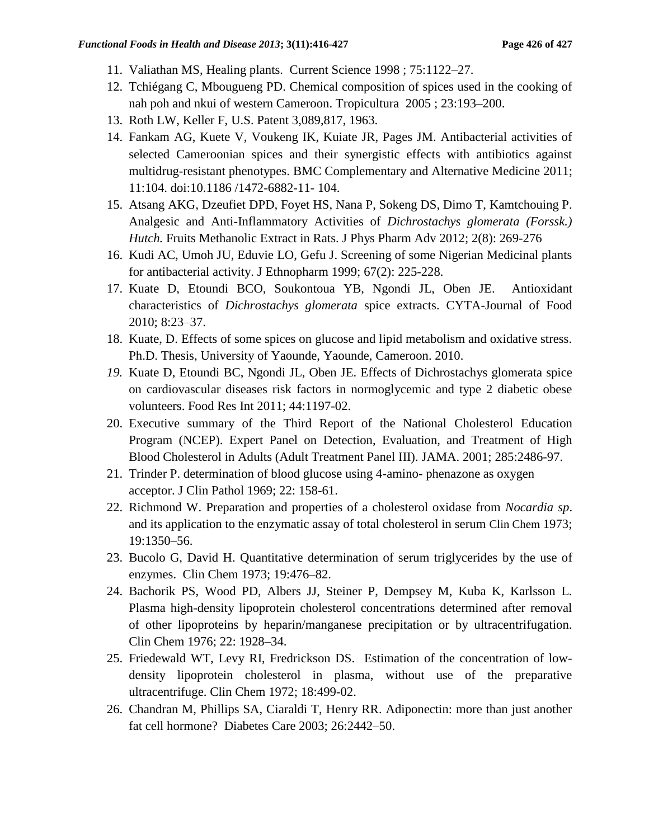- 11. Valiathan MS, Healing plants. Current Science 1998 ; 75:1122–27.
- 12. Tchiégang C, Mbougueng PD. Chemical composition of spices used in the cooking of nah poh and nkui of western Cameroon. Tropicultura 2005 ; 23:193–200.
- 13. Roth LW, Keller F, U.S. Patent 3,089,817, 1963.
- 14. Fankam AG, Kuete V, Voukeng IK, Kuiate JR, Pages JM. Antibacterial activities of selected Cameroonian spices and their synergistic effects with antibiotics against multidrug-resistant phenotypes. BMC Complementary and Alternative Medicine 2011; 11:104. doi:10.1186 /1472-6882-11- 104.
- 15. Atsang AKG, Dzeufiet DPD, Foyet HS, Nana P, Sokeng DS, Dimo T, Kamtchouing P. Analgesic and Anti-Inflammatory Activities of *Dichrostachys glomerata (Forssk.) Hutch.* Fruits Methanolic Extract in Rats. J Phys Pharm Adv 2012; 2(8): 269-276
- 16. Kudi AC, Umoh JU, Eduvie LO, Gefu J. Screening of some Nigerian Medicinal plants for antibacterial activity. J Ethnopharm 1999; 67(2): 225-228.
- 17. Kuate D, Etoundi BCO, Soukontoua YB, Ngondi JL, Oben JE. Antioxidant characteristics of *Dichrostachys glomerata* spice extracts. CYTA-Journal of Food 2010; 8:23–37.
- 18. Kuate, D. Effects of some spices on glucose and lipid metabolism and oxidative stress. Ph.D. Thesis, University of Yaounde, Yaounde, Cameroon. 2010.
- *19.* Kuate D, Etoundi BC, Ngondi JL, Oben JE. Effects of Dichrostachys glomerata spice on cardiovascular diseases risk factors in normoglycemic and type 2 diabetic obese volunteers. Food Res Int 2011; 44:1197-02.
- 20. Executive summary of the Third Report of the National Cholesterol Education Program (NCEP). Expert Panel on Detection, Evaluation, and Treatment of High Blood Cholesterol in Adults (Adult Treatment Panel III). JAMA. 2001; 285:2486-97.
- 21. Trinder P. determination of blood glucose using 4-amino- phenazone as oxygen acceptor. J Clin Pathol 1969; 22: 158-61.
- 22. Richmond W. Preparation and properties of a cholesterol oxidase from *Nocardia sp*. and its application to the enzymatic assay of total cholesterol in serum Clin Chem 1973; 19:1350–56.
- 23. Bucolo G, David H. Quantitative determination of serum triglycerides by the use of enzymes. Clin Chem 1973; 19:476–82.
- 24. Bachorik PS, Wood PD, Albers JJ, Steiner P, Dempsey M, Kuba K, Karlsson L. Plasma high-density lipoprotein cholesterol concentrations determined after removal of other lipoproteins by heparin/manganese precipitation or by ultracentrifugation. Clin Chem 1976; 22: 1928–34.
- 25. Friedewald WT, Levy RI, Fredrickson DS. Estimation of the concentration of lowdensity lipoprotein cholesterol in plasma, without use of the preparative ultracentrifuge. Clin Chem 1972; 18:499-02.
- 26. Chandran M, Phillips SA, Ciaraldi T, Henry RR. Adiponectin: more than just another fat cell hormone? Diabetes Care 2003; 26:2442–50.